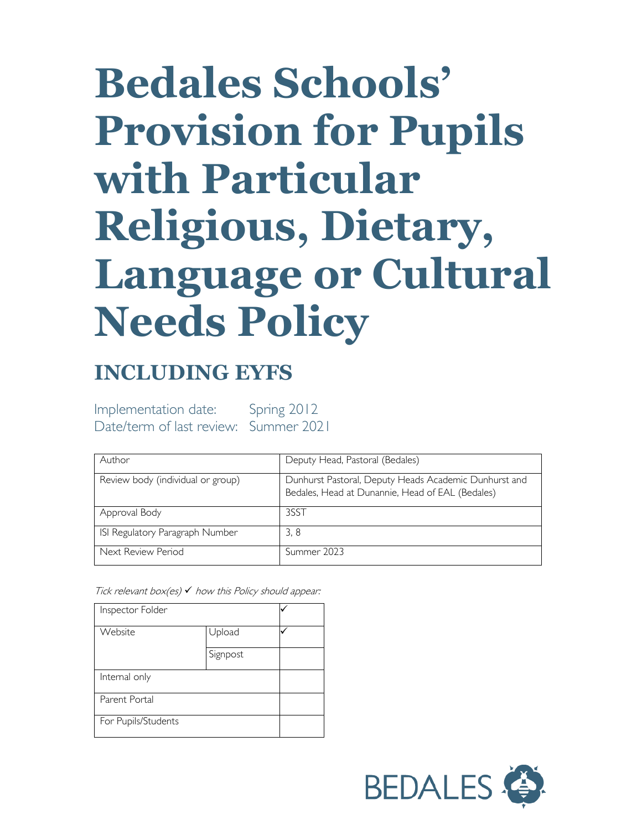# **Bedales Schools' Provision for Pupils with Particular Religious, Dietary, Language or Cultural Needs Policy**

## **INCLUDING EYFS**

Implementation date: Spring 2012 Date/term of last review: Summer 2021

| Author                            | Deputy Head, Pastoral (Bedales)                                                                           |
|-----------------------------------|-----------------------------------------------------------------------------------------------------------|
| Review body (individual or group) | Dunhurst Pastoral, Deputy Heads Academic Dunhurst and<br>Bedales, Head at Dunannie, Head of EAL (Bedales) |
| Approval Body                     | 3SST                                                                                                      |
| ISI Regulatory Paragraph Number   | 3, 8                                                                                                      |
| Next Review Period                | Summer 2023                                                                                               |

Tick relevant box(es)  $\checkmark$  how this Policy should appear:

| Inspector Folder    |          |  |
|---------------------|----------|--|
| Website             | Upload   |  |
|                     | Signpost |  |
| Internal only       |          |  |
| Parent Portal       |          |  |
| For Pupils/Students |          |  |

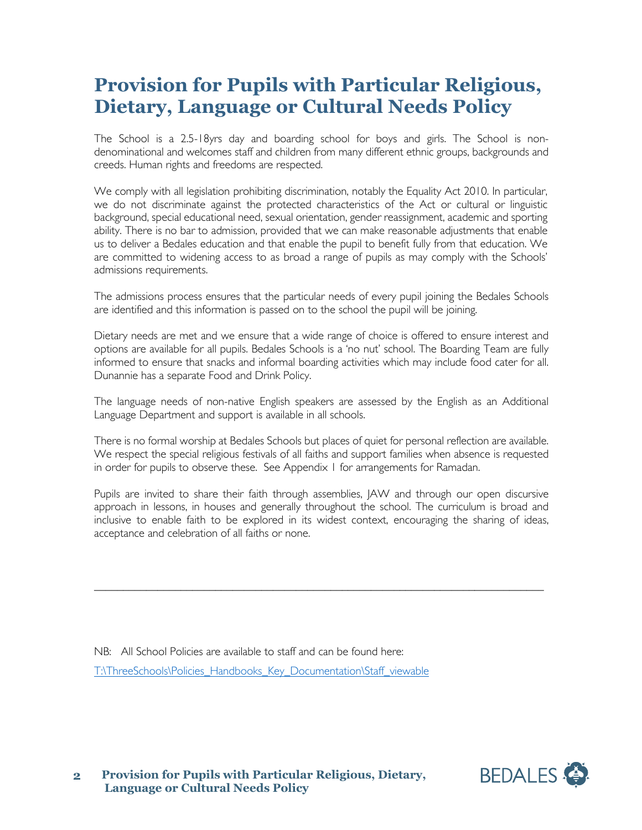## **Provision for Pupils with Particular Religious, Dietary, Language or Cultural Needs Policy**

The School is a 2.5-18yrs day and boarding school for boys and girls. The School is nondenominational and welcomes staff and children from many different ethnic groups, backgrounds and creeds. Human rights and freedoms are respected.

We comply with all legislation prohibiting discrimination, notably the Equality Act 2010. In particular, we do not discriminate against the protected characteristics of the Act or cultural or linguistic background, special educational need, sexual orientation, gender reassignment, academic and sporting ability. There is no bar to admission, provided that we can make reasonable adjustments that enable us to deliver a Bedales education and that enable the pupil to benefit fully from that education. We are committed to widening access to as broad a range of pupils as may comply with the Schools' admissions requirements.

The admissions process ensures that the particular needs of every pupil joining the Bedales Schools are identified and this information is passed on to the school the pupil will be joining.

Dietary needs are met and we ensure that a wide range of choice is offered to ensure interest and options are available for all pupils. Bedales Schools is a 'no nut' school. The Boarding Team are fully informed to ensure that snacks and informal boarding activities which may include food cater for all. Dunannie has a separate Food and Drink Policy.

The language needs of non-native English speakers are assessed by the English as an Additional Language Department and support is available in all schools.

There is no formal worship at Bedales Schools but places of quiet for personal reflection are available. We respect the special religious festivals of all faiths and support families when absence is requested in order for pupils to observe these. See Appendix 1 for arrangements for Ramadan.

Pupils are invited to share their faith through assemblies, JAW and through our open discursive approach in lessons, in houses and generally throughout the school. The curriculum is broad and inclusive to enable faith to be explored in its widest context, encouraging the sharing of ideas, acceptance and celebration of all faiths or none.

\_\_\_\_\_\_\_\_\_\_\_\_\_\_\_\_\_\_\_\_\_\_\_\_\_\_\_\_\_\_\_\_\_\_\_\_\_\_\_\_\_\_\_\_\_\_\_\_\_\_\_\_\_\_\_\_\_\_\_\_\_\_\_\_\_\_\_\_\_\_\_\_\_\_\_\_\_\_

NB: All School Policies are available to staff and can be found here: [T:\ThreeSchools\Policies\\_Handbooks\\_Key\\_Documentation\Staff\\_viewable](file://vm-009-fs/root$/ThreeSchools/Policies_Handbooks_Key_Documentation/Staff_viewable)

**Provision for Pupils with Particular Religious, Dietary, Language or Cultural Needs Policy 2**

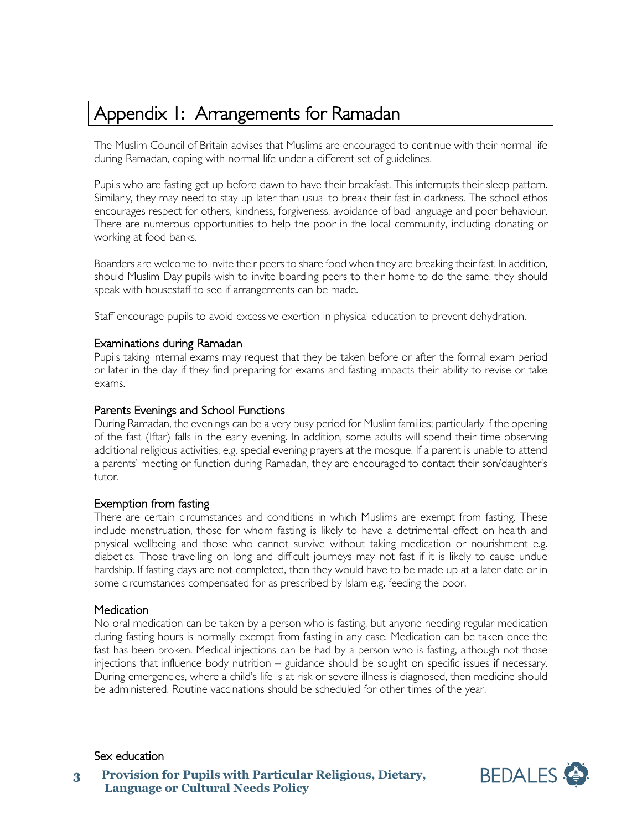### Appendix 1: Arrangements for Ramadan

The Muslim Council of Britain advises that Muslims are encouraged to continue with their normal life during Ramadan, coping with normal life under a different set of guidelines.

Pupils who are fasting get up before dawn to have their breakfast. This interrupts their sleep pattern. Similarly, they may need to stay up later than usual to break their fast in darkness. The school ethos encourages respect for others, kindness, forgiveness, avoidance of bad language and poor behaviour. There are numerous opportunities to help the poor in the local community, including donating or working at food banks.

Boarders are welcome to invite their peers to share food when they are breaking their fast. In addition, should Muslim Day pupils wish to invite boarding peers to their home to do the same, they should speak with housestaff to see if arrangements can be made.

Staff encourage pupils to avoid excessive exertion in physical education to prevent dehydration.

#### Examinations during Ramadan

Pupils taking internal exams may request that they be taken before or after the formal exam period or later in the day if they find preparing for exams and fasting impacts their ability to revise or take exams.

#### Parents Evenings and School Functions

During Ramadan, the evenings can be a very busy period for Muslim families; particularly if the opening of the fast (Iftar) falls in the early evening. In addition, some adults will spend their time observing additional religious activities, e.g. special evening prayers at the mosque. If a parent is unable to attend a parents' meeting or function during Ramadan, they are encouraged to contact their son/daughter's tutor.

#### Exemption from fasting

There are certain circumstances and conditions in which Muslims are exempt from fasting. These include menstruation, those for whom fasting is likely to have a detrimental effect on health and physical wellbeing and those who cannot survive without taking medication or nourishment e.g. diabetics. Those travelling on long and difficult journeys may not fast if it is likely to cause undue hardship. If fasting days are not completed, then they would have to be made up at a later date or in some circumstances compensated for as prescribed by Islam e.g. feeding the poor.

#### Medication

No oral medication can be taken by a person who is fasting, but anyone needing regular medication during fasting hours is normally exempt from fasting in any case. Medication can be taken once the fast has been broken. Medical injections can be had by a person who is fasting, although not those injections that influence body nutrition – guidance should be sought on specific issues if necessary. During emergencies, where a child's life is at risk or severe illness is diagnosed, then medicine should be administered. Routine vaccinations should be scheduled for other times of the year.

#### Sex education

**Provision for Pupils with Particular Religious, Dietary, Language or Cultural Needs Policy 3**